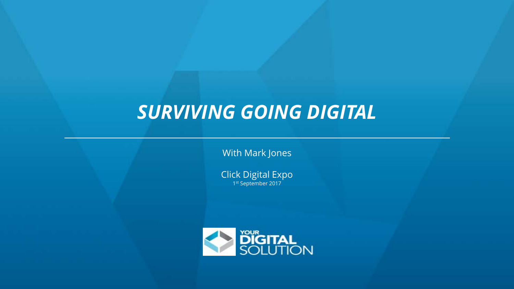# *SURVIVING GOING DIGITAL*

With Mark Jones

Click Digital Expo 1st September 2017

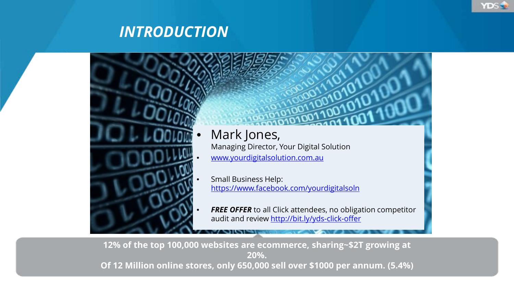



**YDS** 

**12% of the top 100,000 websites are ecommerce, sharing~\$2T growing at 20%. Of 12 Million online stores, only 650,000 sell over \$1000 per annum. (5.4%)**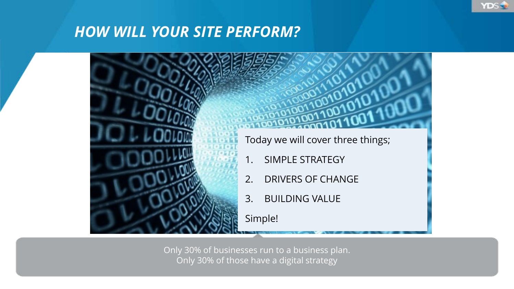



**YDS** 

Only 30% of businesses run to a business plan. Only 30% of those have a digital strategy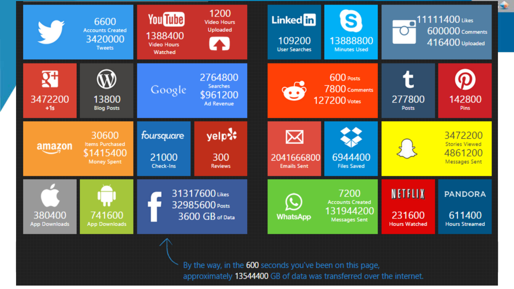

approximately 13544400 GB of data was transferred over the internet.

**SE**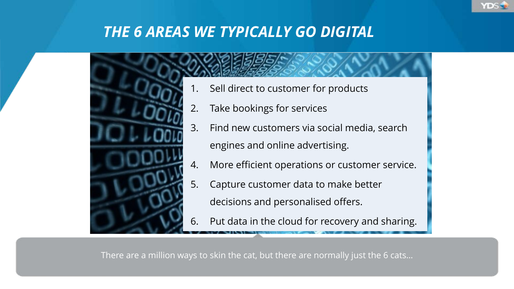



- Sell direct to customer for products
- 2. Take bookings for services
- 3. Find new customers via social media, search engines and online advertising.
- 4. More efficient operations or customer service.

YDS -

- 5. Capture customer data to make better decisions and personalised offers.
- 6. Put data in the cloud for recovery and sharing.

There are a million ways to skin the cat, but there are normally just the 6 cats…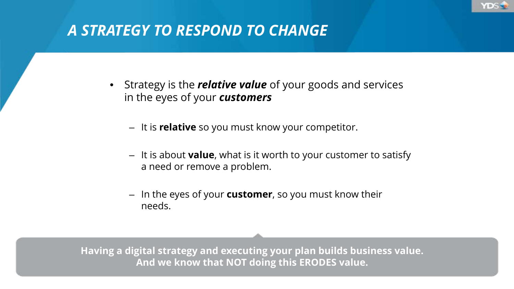

# *A STRATEGY TO RESPOND TO CHANGE*

- Strategy is the *relative value* of your goods and services in the eyes of your *customers*
	- It is **relative** so you must know your competitor.
	- It is about **value**, what is it worth to your customer to satisfy a need or remove a problem.
	- In the eyes of your **customer**, so you must know their needs.

**Having a digital strategy and executing your plan builds business value. And we know that NOT doing this ERODES value.**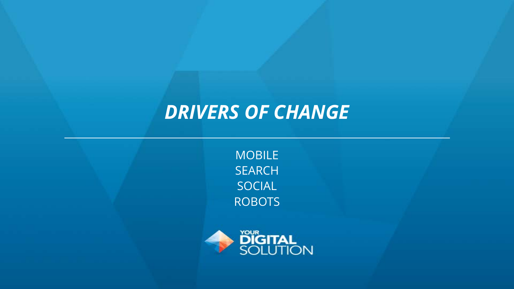# *DRIVERS OF CHANGE*

MOBILE SEARCH SOCIAL ROBOTS

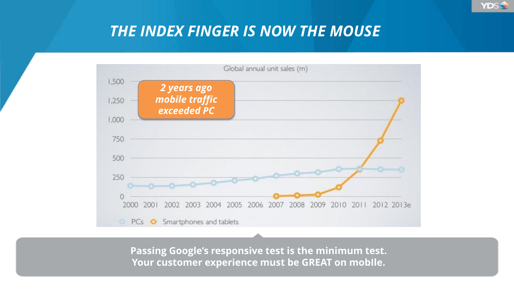

### *THE INDEX FINGER IS NOW THE MOUSE*



**Passing Google's responsive test is the minimum test. Your customer experience must be GREAT on mobIle.**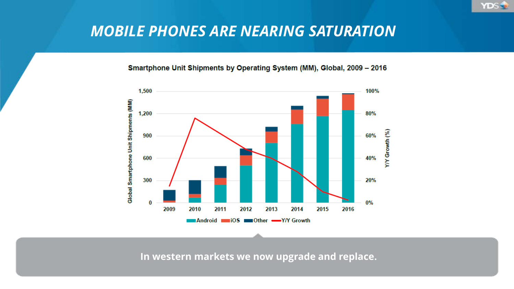

#### Smartphone Unit Shipments by Operating System (MM), Global, 2009 - 2016

**YDS** 



**In western markets we now upgrade and replace.**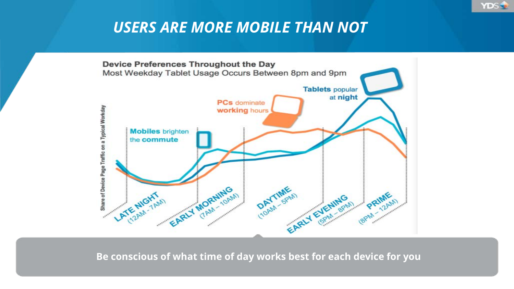## *USERS ARE MORE MOBILE THAN NOT*

**YDS** 



**Be conscious of what time of day works best for each device for you**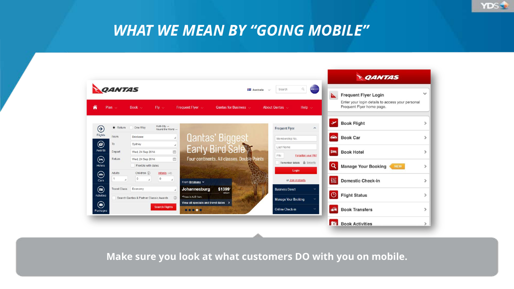### *WHAT WE MEAN BY "GOING MOBILE"*

**YDS** 

|                                                                                     |                                                                                                                   |                                                              |                                   | <b>QANTAS</b>                                 |               |
|-------------------------------------------------------------------------------------|-------------------------------------------------------------------------------------------------------------------|--------------------------------------------------------------|-----------------------------------|-----------------------------------------------|---------------|
| <b>QANTAS</b><br>⋒<br>Plan $\sim$                                                   | ь<br><b>Frequent Flyer Login</b><br>Enter your login details to access your personal<br>Frequent Flyer home page. | $\checkmark$                                                 |                                   |                                               |               |
| $\bigoplus$<br>$\bullet$ Return                                                     | Multi-City -<br>One Way<br>Round the World -                                                                      |                                                              | <b>Frequent Flyer</b><br>$\wedge$ | <b>Book Flight</b><br>✓                       |               |
| Flights<br>From                                                                     | <b>Brisbane</b><br>$\cal A$                                                                                       | <b>Qantas' Biggest</b>                                       | Membership No.                    | $\bullet$<br><b>Book Car</b>                  | $\,>\,$       |
| $\circledcirc$<br>To<br>Awards<br>Depart                                            | Sydney<br>м<br>面                                                                                                  | Early Bird Sale                                              | Last Name                         |                                               |               |
| $\bm{\mathop{\oplus}}$<br>Return                                                    | Wed, 24 Sep 2014<br>圖<br>Wed, 24 Sep 2014                                                                         | Four continents, All classes. Double Points                  | PIN<br>Forgotten your PIN?        | $=$<br><b>Book Hotel</b>                      | >             |
| <b>Hotels</b>                                                                       | Flexible with dates                                                                                               |                                                              | Remember details & Security       | Q<br><b>Manage Your Booking</b><br><b>NEW</b> | $\mathcal{P}$ |
| $\circledast$<br>Adults<br>Cars                                                     | Children (i)<br>Infants $\langle 2 \rangle$<br>$\circ$<br>$\mathbb O$<br>$\overline{A}$                           | From Brisbane v                                              | Login<br>or Join instantly        | 鼺<br><b>Domestic Check-in</b>                 | $\mathcal{P}$ |
| $\bm{\mathord{\textcircled{\small{}}}}$<br><b>Travel Class</b><br><b>Activities</b> | Economy                                                                                                           | \$1399 <sup>-</sup><br>Johannesburg<br>return                | <b>Business Direct</b>            | $\odot$<br><b>Flight Status</b>               | $\mathcal{P}$ |
|                                                                                     | $\Omega$<br>Search Qantas & Partner Classic Awards                                                                | *Prices in AUD from.<br>View all specials and travel dates > | <b>Manage Your Booking</b>        |                                               |               |
| $\textcircled{\scriptsize{1}}$<br>Packages                                          | <b>Search Flights</b>                                                                                             | 00000                                                        | Online Check-in                   | 論<br><b>Book Transfers</b>                    | $\mathcal{P}$ |
|                                                                                     |                                                                                                                   |                                                              |                                   | fol<br><b>Book Activities</b>                 |               |

**Make sure you look at what customers DO with you on mobile.**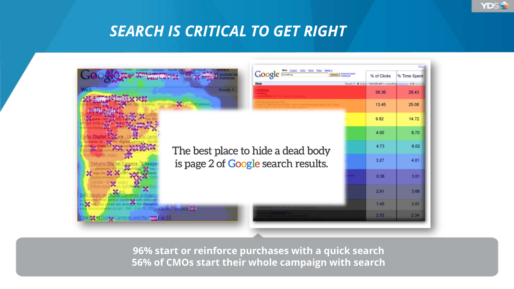

# *SEARCH IS CRITICAL TO GET RIGHT*

|                                        | Web<br><b>Google</b> Formerling<br>Search<br>% of Clicks<br>% Time Spent |                                                                           |       |                                                                                |       |
|----------------------------------------|--------------------------------------------------------------------------|---------------------------------------------------------------------------|-------|--------------------------------------------------------------------------------|-------|
|                                        |                                                                          | Web                                                                       |       | Results 1 - 10 of about 1,050,000,000 for something [definition]. (0.60 second |       |
| Web<br>Results <sup>1</sup>            |                                                                          |                                                                           |       | 56.36                                                                          | 28.43 |
|                                        | - 37.6<br>product reviews                                                |                                                                           | 13.45 | 25.08                                                                          |       |
|                                        |                                                                          | The best place to hide a dead body<br>is page 2 of Google search results. |       | 9.82                                                                           | 14.72 |
|                                        |                                                                          |                                                                           |       | 4.00                                                                           | 8.70  |
|                                        |                                                                          |                                                                           |       | 4.73                                                                           | 6.02  |
| Yakumo Dini tal                        |                                                                          |                                                                           |       | 3.27                                                                           | 4.01  |
|                                        |                                                                          |                                                                           |       | 0.36                                                                           | 3.01  |
|                                        |                                                                          |                                                                           |       | 2.91                                                                           | 3.68  |
|                                        | 2053                                                                     |                                                                           |       | 1.45                                                                           | 3.01  |
| ameras and the book Fux S3<br>Che-best |                                                                          |                                                                           |       | 2.55                                                                           | 2.34  |

**96% start or reinforce purchases with a quick search 56% of CMOs start their whole campaign with search**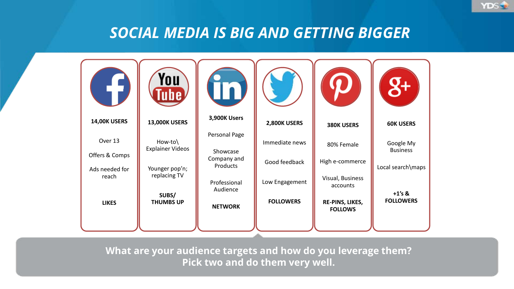#### *SOCIAL MEDIA IS BIG AND GETTING BIGGER*

**YDS** 



**What are your audience targets and how do you leverage them? Pick two and do them very well.**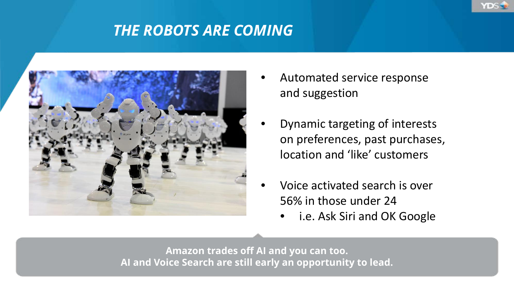# *THE ROBOTS ARE COMING*



• Automated service response and suggestion

YDS -

- Dynamic targeting of interests on preferences, past purchases, location and 'like' customers
- Voice activated search is over 56% in those under 24
	- i.e. Ask Siri and OK Google

**Amazon trades off AI and you can too. AI and Voice Search are still early an opportunity to lead.**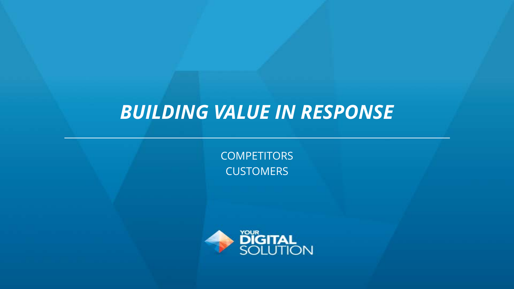# *BUILDING VALUE IN RESPONSE*

**COMPETITORS CUSTOMERS** 

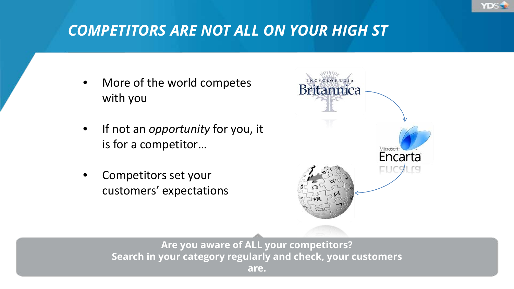

# *COMPETITORS ARE NOT ALL ON YOUR HIGH ST*

- More of the world competes with you
- If not an *opportunity* for you, it is for a competitor…
- Competitors set your customers' expectations



**Are you aware of ALL your competitors? Search in your category regularly and check, your customers are.**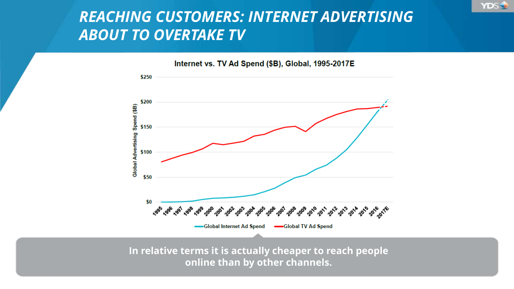# *REACHING CUSTOMERS: INTERNET ADVERTISING ABOUT TO OVERTAKE TV*

**YDS** 



**In relative terms it is actually cheaper to reach people online than by other channels.**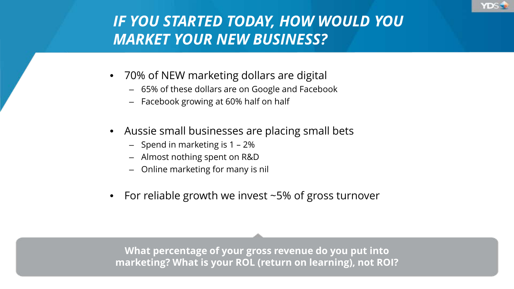

# *IF YOU STARTED TODAY, HOW WOULD YOU MARKET YOUR NEW BUSINESS?*

- 70% of NEW marketing dollars are digital
	- 65% of these dollars are on Google and Facebook
	- Facebook growing at 60% half on half
- Aussie small businesses are placing small bets
	- Spend in marketing is 1 2%
	- Almost nothing spent on R&D
	- Online marketing for many is nil
- For reliable growth we invest  $\sim$  5% of gross turnover

**What percentage of your gross revenue do you put into marketing? What is your ROL (return on learning), not ROI?**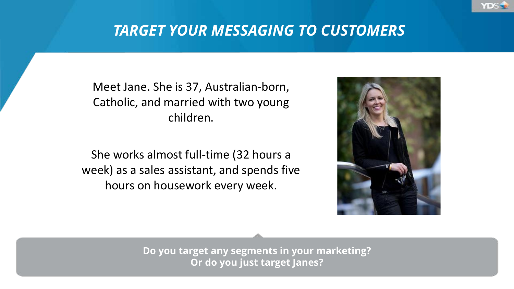## *TARGET YOUR MESSAGING TO CUSTOMERS*

Meet Jane. She is 37, Australian-born, Catholic, and married with two young children.

She works almost full-time (32 hours a week) as a sales assistant, and spends five hours on housework every week.



**YDS** 

**Do you target any segments in your marketing? Or do you just target Janes?**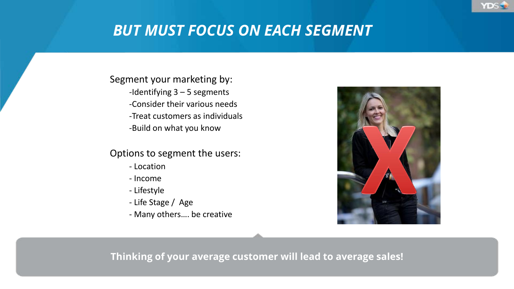# *BUT MUST FOCUS ON EACH SEGMENT*

Segment your marketing by:

- -Identifying 3 5 segments
- -Consider their various needs
- -Treat customers as individuals

-Build on what you know

#### Options to segment the users:

- Location
- Income
- Lifestyle
- Life Stage / Age
- Many others…. be creative



YDS-

#### **Thinking of your average customer will lead to average sales!**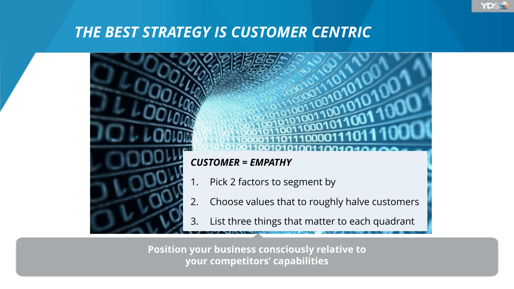## *THE BEST STRATEGY IS CUSTOMER CENTRIC*



**YDS** 

**Position your business consciously relative to your competitors' capabilities**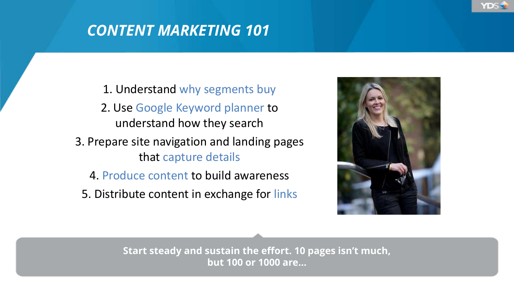# *CONTENT MARKETING 101*

- 1. Understand why segments buy
- 2. Use Google Keyword planner to understand how they search
- 3. Prepare site navigation and landing pages that capture details
	- 4. Produce content to build awareness
	- 5. Distribute content in exchange for links



YDS 5

**Start steady and sustain the effort. 10 pages isn't much, but 100 or 1000 are…**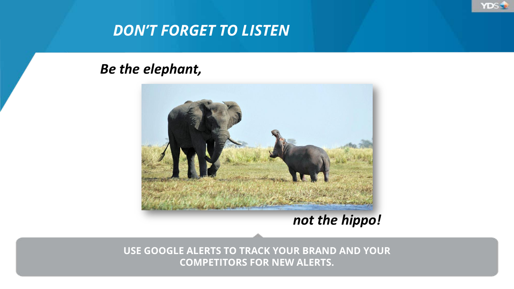

# *DON'T FORGET TO LISTEN*

#### *Be the elephant,*



*not the hippo!*

**USE GOOGLE ALERTS TO TRACK YOUR BRAND AND YOUR COMPETITORS FOR NEW ALERTS.**